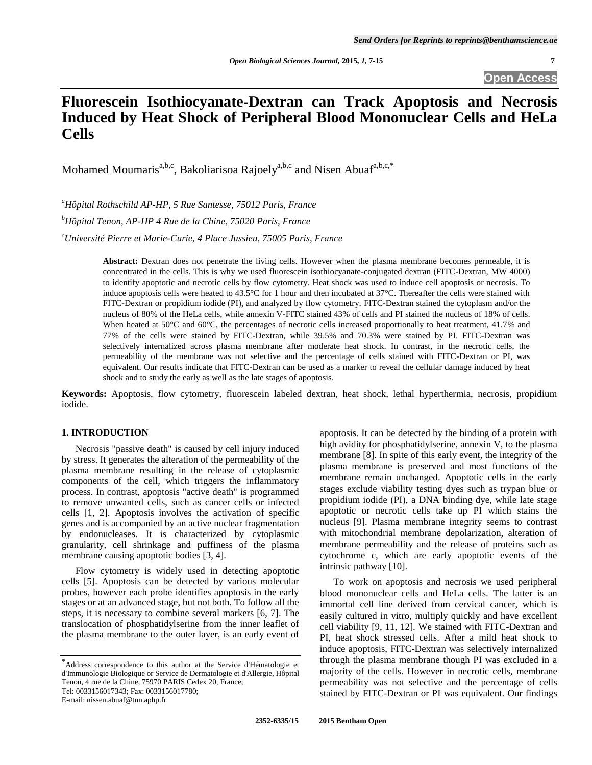# **Fluorescein Isothiocyanate-Dextran can Track Apoptosis and Necrosis Induced by Heat Shock of Peripheral Blood Mononuclear Cells and HeLa Cells**

Mohamed Moumaris<sup>a,b,c</sup>, Bakoliarisoa Rajoely<sup>a,b,c</sup> and Nisen Abuaf<sup>a,b,c,\*</sup>

*<sup>a</sup>Hôpital Rothschild AP-HP, 5 Rue Santesse, 75012 Paris, France <sup>b</sup>Hôpital Tenon, AP-HP 4 Rue de la Chine, 75020 Paris, France <sup>c</sup>Université Pierre et Marie-Curie, 4 Place Jussieu, 75005 Paris, France*

> **Abstract:** Dextran does not penetrate the living cells. However when the plasma membrane becomes permeable, it is concentrated in the cells. This is why we used fluorescein isothiocyanate-conjugated dextran (FITC-Dextran, MW 4000) to identify apoptotic and necrotic cells by flow cytometry. Heat shock was used to induce cell apoptosis or necrosis. To induce apoptosis cells were heated to 43.5°C for 1 hour and then incubated at 37°C. Thereafter the cells were stained with FITC-Dextran or propidium iodide (PI), and analyzed by flow cytometry. FITC-Dextran stained the cytoplasm and/or the nucleus of 80% of the HeLa cells, while annexin V-FITC stained 43% of cells and PI stained the nucleus of 18% of cells. When heated at 50°C and 60°C, the percentages of necrotic cells increased proportionally to heat treatment, 41.7% and 77% of the cells were stained by FITC-Dextran, while 39.5% and 70.3% were stained by PI. FITC-Dextran was selectively internalized across plasma membrane after moderate heat shock. In contrast, in the necrotic cells, the permeability of the membrane was not selective and the percentage of cells stained with FITC-Dextran or PI, was equivalent. Our results indicate that FITC-Dextran can be used as a marker to reveal the cellular damage induced by heat shock and to study the early as well as the late stages of apoptosis.

**Keywords:** Apoptosis, flow cytometry, fluorescein labeled dextran, heat shock, lethal hyperthermia, necrosis, propidium iodide.

## **1. INTRODUCTION**

Necrosis "passive death" is caused by cell injury induced by stress. It generates the alteration of the permeability of the plasma membrane resulting in the release of cytoplasmic components of the cell, which triggers the inflammatory process. In contrast, apoptosis "active death" is programmed to remove unwanted cells, such as cancer cells or infected cells [1, 2]. Apoptosis involves the activation of specific genes and is accompanied by an active nuclear fragmentation by endonucleases. It is characterized by cytoplasmic granularity, cell shrinkage and puffiness of the plasma membrane causing apoptotic bodies [3, 4].

Flow cytometry is widely used in detecting apoptotic cells [5]. Apoptosis can be detected by various molecular probes, however each probe identifies apoptosis in the early stages or at an advanced stage, but not both. To follow all the steps, it is necessary to combine several markers [6, 7]. The translocation of phosphatidylserine from the inner leaflet of the plasma membrane to the outer layer, is an early event of

Tel: 0033156017343; Fax: 0033156017780;

apoptosis. It can be detected by the binding of a protein with high avidity for phosphatidylserine, annexin V, to the plasma membrane [8]. In spite of this early event, the integrity of the plasma membrane is preserved and most functions of the membrane remain unchanged. Apoptotic cells in the early stages exclude viability testing dyes such as trypan blue or propidium iodide (PI), a DNA binding dye, while late stage apoptotic or necrotic cells take up PI which stains the nucleus [9]. Plasma membrane integrity seems to contrast with mitochondrial membrane depolarization, alteration of membrane permeability and the release of proteins such as cytochrome c, which are early apoptotic events of the intrinsic pathway [10].

To work on apoptosis and necrosis we used peripheral blood mononuclear cells and HeLa cells. The latter is an immortal cell line derived from cervical cancer, which is easily cultured in vitro, multiply quickly and have excellent cell viability [9, 11, 12]. We stained with FITC-Dextran and PI, heat shock stressed cells. After a mild heat shock to induce apoptosis, FITC-Dextran was selectively internalized through the plasma membrane though PI was excluded in a majority of the cells. However in necrotic cells, membrane permeability was not selective and the percentage of cells stained by FITC-Dextran or PI was equivalent. Our findings

<sup>\*</sup>Address correspondence to this author at the Service d'Hématologie et d'Immunologie Biologique or Service de Dermatologie et d'Allergie, Hôpital Tenon, 4 rue de la Chine, 75970 PARIS Cedex 20, France;

E-mail: nissen.abuaf@tnn.aphp.fr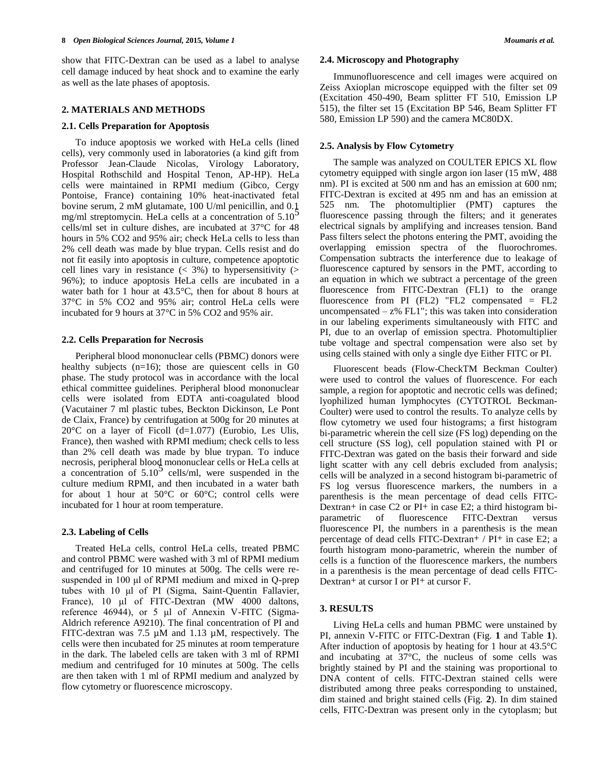show that FITC-Dextran can be used as a label to analyse cell damage induced by heat shock and to examine the early as well as the late phases of apoptosis.

### **2. MATERIALS AND METHODS**

## **2.1. Cells Preparation for Apoptosis**

To induce apoptosis we worked with HeLa cells (lined cells), very commonly used in laboratories (a kind gift from Professor Jean-Claude Nicolas, Virology Laboratory, Hospital Rothschild and Hospital Tenon, AP-HP). HeLa cells were maintained in RPMI medium (Gibco, Cergy Pontoise, France) containing 10% heat-inactivated fetal bovine serum, 2 mM glutamate, 100 U/ml penicillin, and 0.1 mg/ml streptomycin. HeLa cells at a concentration of  $5.10<sup>5</sup>$ cells/ml set in culture dishes, are incubated at 37°C for 48 hours in 5% CO2 and 95% air; check HeLa cells to less than 2% cell death was made by blue trypan. Cells resist and do not fit easily into apoptosis in culture, competence apoptotic cell lines vary in resistance  $( $3\%$ )$  to hypersensitivity  $(>$ 96%); to induce apoptosis HeLa cells are incubated in a water bath for 1 hour at 43.5°C, then for about 8 hours at 37°C in 5% CO2 and 95% air; control HeLa cells were incubated for 9 hours at 37°C in 5% CO2 and 95% air.

### **2.2. Cells Preparation for Necrosis**

Peripheral blood mononuclear cells (PBMC) donors were healthy subjects  $(n=16)$ ; those are quiescent cells in G0 phase. The study protocol was in accordance with the local ethical committee guidelines. Peripheral blood mononuclear cells were isolated from EDTA anti-coagulated blood (Vacutainer 7 ml plastic tubes, Beckton Dickinson, Le Pont de Claix, France) by centrifugation at 500g for 20 minutes at  $20^{\circ}$ C on a layer of Ficoll (d=1.077) (Eurobio, Les Ulis, France), then washed with RPMI medium; check cells to less than 2% cell death was made by blue trypan. To induce necrosis, peripheral blood mononuclear cells or HeLa cells at a concentration of  $5.10<sup>5</sup>$  cells/ml, were suspended in the culture medium RPMI, and then incubated in a water bath for about 1 hour at  $50^{\circ}$ C or  $60^{\circ}$ C; control cells were incubated for 1 hour at room temperature.

### **2.3. Labeling of Cells**

Treated HeLa cells, control HeLa cells, treated PBMC and control PBMC were washed with 3 ml of RPMI medium and centrifuged for 10 minutes at 500g. The cells were resuspended in 100 μl of RPMI medium and mixed in Q-prep tubes with 10 μl of PI (Sigma, Saint-Quentin Fallavier, France), 10 μl of FITC-Dextran (MW 4000 daltons, reference 46944), or 5 μl of Annexin V-FITC (Sigma-Aldrich reference A9210). The final concentration of PI and FITC-dextran was 7.5 µM and 1.13 µM, respectively. The cells were then incubated for 25 minutes at room temperature in the dark. The labeled cells are taken with 3 ml of RPMI medium and centrifuged for 10 minutes at 500g. The cells are then taken with 1 ml of RPMI medium and analyzed by flow cytometry or fluorescence microscopy.

### **2.4. Microscopy and Photography**

Immunofluorescence and cell images were acquired on Zeiss Axioplan microscope equipped with the filter set 09 (Excitation 450-490, Beam splitter FT 510, Emission LP 515), the filter set 15 (Excitation BP 546, Beam Splitter FT 580, Emission LP 590) and the camera MC80DX.

#### **2.5. Analysis by Flow Cytometry**

The sample was analyzed on COULTER EPICS XL flow cytometry equipped with single argon ion laser (15 mW, 488 nm). PI is excited at 500 nm and has an emission at 600 nm; FITC-Dextran is excited at 495 nm and has an emission at 525 nm. The photomultiplier (PMT) captures the fluorescence passing through the filters; and it generates electrical signals by amplifying and increases tension. Band Pass filters select the photons entering the PMT, avoiding the overlapping emission spectra of the fluorochromes. Compensation subtracts the interference due to leakage of fluorescence captured by sensors in the PMT, according to an equation in which we subtract a percentage of the green fluorescence from FITC-Dextran (FL1) to the orange fluorescence from PI  $(FL2)$  "FL2 compensated = FL2 uncompensated  $- z$ % FL1"; this was taken into consideration in our labeling experiments simultaneously with FITC and PI, due to an overlap of emission spectra. Photomultiplier tube voltage and spectral compensation were also set by using cells stained with only a single dye Either FITC or PI.

Fluorescent beads (Flow-CheckTM Beckman Coulter) were used to control the values of fluorescence. For each sample, a region for apoptotic and necrotic cells was defined; lyophilized human lymphocytes (CYTOTROL Beckman-Coulter) were used to control the results. To analyze cells by flow cytometry we used four histograms; a first histogram bi-parametric wherein the cell size (FS log) depending on the cell structure (SS log), cell population stained with PI or FITC-Dextran was gated on the basis their forward and side light scatter with any cell debris excluded from analysis; cells will be analyzed in a second histogram bi-parametric of FS log versus fluorescence markers, the numbers in a parenthesis is the mean percentage of dead cells FITC-Dextran+ in case  $C2$  or  $PI+$  in case  $E2$ ; a third histogram biparametric of fluorescence FITC-Dextran versus fluorescence PI, the numbers in a parenthesis is the mean percentage of dead cells FITC-Dextran+ / PI+ in case E2; a fourth histogram mono-parametric, wherein the number of cells is a function of the fluorescence markers, the numbers in a parenthesis is the mean percentage of dead cells FITC-Dextran+ at cursor I or PI+ at cursor F.

#### **3. RESULTS**

Living HeLa cells and human PBMC were unstained by PI, annexin V-FITC or FITC-Dextran (Fig. **1** and Table **1**). After induction of apoptosis by heating for 1 hour at 43.5°C and incubating at 37°C, the nucleus of some cells was brightly stained by PI and the staining was proportional to DNA content of cells. FITC-Dextran stained cells were distributed among three peaks corresponding to unstained, dim stained and bright stained cells (Fig. **2**). In dim stained cells, FITC-Dextran was present only in the cytoplasm; but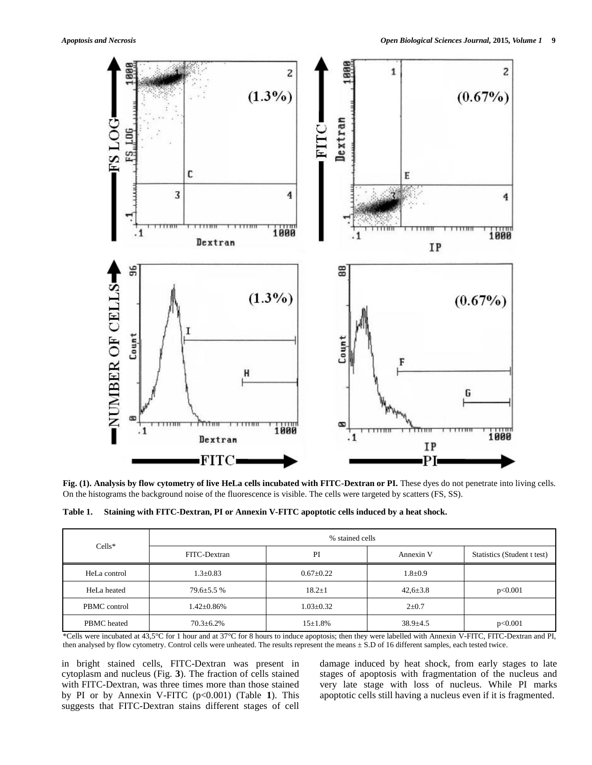

**Fig. (1). Analysis by flow cytometry of live HeLa cells incubated with FITC-Dextran or PI.** These dyes do not penetrate into living cells. On the histograms the background noise of the fluorescence is visible. The cells were targeted by scatters (FS, SS).

**Table 1. Staining with FITC-Dextran, PI or Annexin V-FITC apoptotic cells induced by a heat shock.**

| $Cells*$     | % stained cells   |                 |                |                             |  |
|--------------|-------------------|-----------------|----------------|-----------------------------|--|
|              | FITC-Dextran      | PI              | Annexin V      | Statistics (Student t test) |  |
| HeLa control | $1.3 \pm 0.83$    | $0.67+0.22$     | $1.8 \pm 0.9$  |                             |  |
| HeLa heated  | $79.6 \pm 5.5\%$  | $18.2 \pm 1$    | $42.6 \pm 3.8$ | p<0.001                     |  |
| PBMC control | $1.42 \pm 0.86\%$ | $1.03 \pm 0.32$ | $2+0.7$        |                             |  |
| PBMC heated  | $70.3 \pm 6.2\%$  | $15 + 1.8\%$    | $38.9 \pm 4.5$ | p<0.001                     |  |

\*Cells were incubated at 43,5°C for 1 hour and at 37°C for 8 hours to induce apoptosis; then they were labelled with Annexin V-FITC, FITC-Dextran and PI, then analysed by flow cytometry. Control cells were unheated. The results represent the means ± S.D of 16 different samples, each tested twice.

in bright stained cells, FITC-Dextran was present in cytoplasm and nucleus (Fig. **3**). The fraction of cells stained with FITC-Dextran, was three times more than those stained by PI or by Annexin V-FITC (p<0.001) (Table **1**). This suggests that FITC-Dextran stains different stages of cell

damage induced by heat shock, from early stages to late stages of apoptosis with fragmentation of the nucleus and very late stage with loss of nucleus. While PI marks apoptotic cells still having a nucleus even if it is fragmented.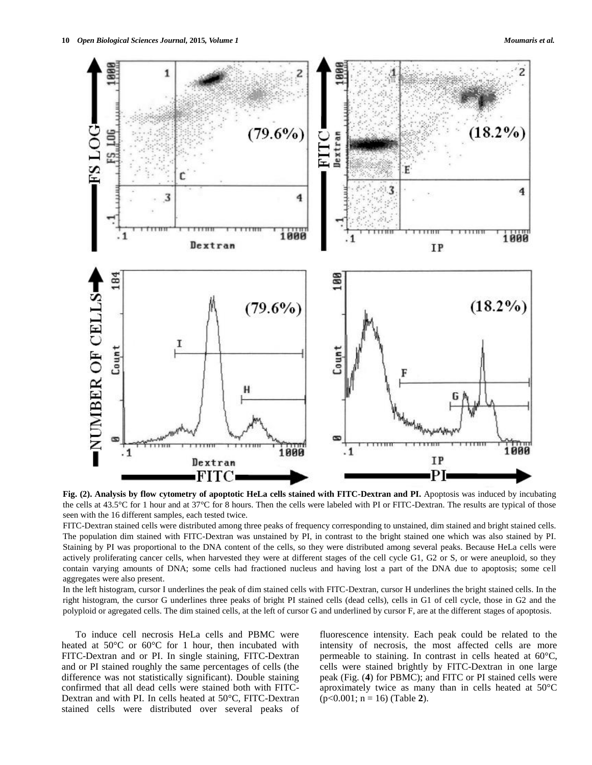

**Fig. (2). Analysis by flow cytometry of apoptotic HeLa cells stained with FITC-Dextran and PI.** Apoptosis was induced by incubating the cells at 43.5°C for 1 hour and at 37°C for 8 hours. Then the cells were labeled with PI or FITC-Dextran. The results are typical of those seen with the 16 different samples, each tested twice.

FITC-Dextran stained cells were distributed among three peaks of frequency corresponding to unstained, dim stained and bright stained cells. The population dim stained with FITC-Dextran was unstained by PI, in contrast to the bright stained one which was also stained by PI. Staining by PI was proportional to the DNA content of the cells, so they were distributed among several peaks. Because HeLa cells were actively proliferating cancer cells, when harvested they were at different stages of the cell cycle G1, G2 or S, or were aneuploid, so they contain varying amounts of DNA; some cells had fractioned nucleus and having lost a part of the DNA due to apoptosis; some cell aggregates were also present.

In the left histogram, cursor I underlines the peak of dim stained cells with FITC-Dextran, cursor H underlines the bright stained cells. In the right histogram, the cursor G underlines three peaks of bright PI stained cells (dead cells), cells in G1 of cell cycle, those in G2 and the polyploid or agregated cells. The dim stained cells, at the left of cursor G and underlined by cursor F, are at the different stages of apoptosis.

To induce cell necrosis HeLa cells and PBMC were heated at 50°C or 60°C for 1 hour, then incubated with FITC-Dextran and or PI. In single staining, FITC-Dextran and or PI stained roughly the same percentages of cells (the difference was not statistically significant). Double staining confirmed that all dead cells were stained both with FITC-Dextran and with PI. In cells heated at 50°C, FITC-Dextran stained cells were distributed over several peaks of

fluorescence intensity. Each peak could be related to the intensity of necrosis, the most affected cells are more permeable to staining. In contrast in cells heated at 60°C, cells were stained brightly by FITC-Dextran in one large peak (Fig. (**4**) for PBMC); and FITC or PI stained cells were aproximately twice as many than in cells heated at 50°C (p<0.001; n = 16) (Table **2**).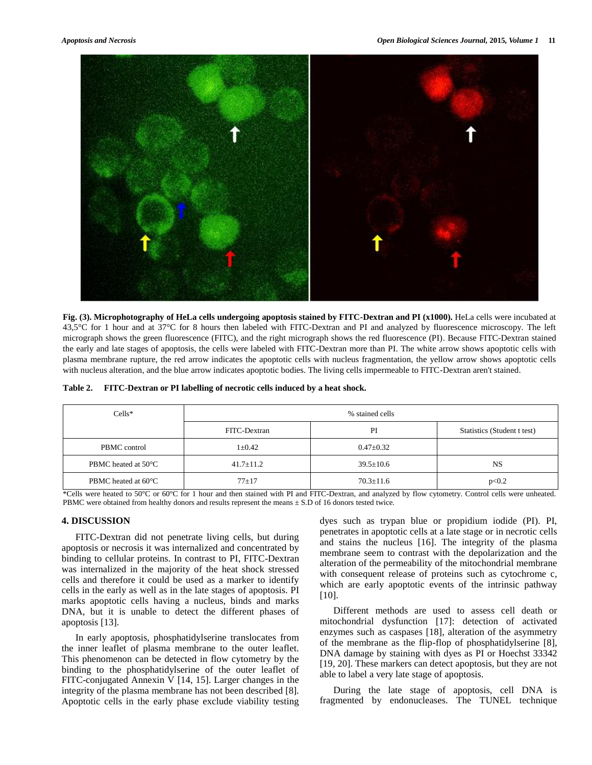

**Fig. (3). Microphotography of HeLa cells undergoing apoptosis stained by FITC-Dextran and PI (x1000).** HeLa cells were incubated at 43,5°C for 1 hour and at 37°C for 8 hours then labeled with FITC-Dextran and PI and analyzed by fluorescence microscopy. The left micrograph shows the green fluorescence (FITC), and the right micrograph shows the red fluorescence (PI). Because FITC-Dextran stained the early and late stages of apoptosis, the cells were labeled with FITC-Dextran more than PI. The white arrow shows apoptotic cells with plasma membrane rupture, the red arrow indicates the apoptotic cells with nucleus fragmentation, the yellow arrow shows apoptotic cells with nucleus alteration, and the blue arrow indicates apoptotic bodies. The living cells impermeable to FITC-Dextran aren't stained.

|  | Table 2. FITC-Dextran or PI labelling of necrotic cells induced by a heat shock. |
|--|----------------------------------------------------------------------------------|
|--|----------------------------------------------------------------------------------|

| $Cells*$            | % stained cells |                 |                             |
|---------------------|-----------------|-----------------|-----------------------------|
|                     | FITC-Dextran    | PI              | Statistics (Student t test) |
| PBMC control        | $1 \pm 0.42$    | $0.47 \pm 0.32$ |                             |
| PBMC heated at 50°C | $41.7 \pm 11.2$ | $39.5 \pm 10.6$ | <b>NS</b>                   |
| PBMC heated at 60°C | $77 + 17$       | $70.3 \pm 11.6$ | p<0.2                       |

\*Cells were heated to 50°C or 60°C for 1 hour and then stained with PI and FITC-Dextran, and analyzed by flow cytometry. Control cells were unheated. PBMC were obtained from healthy donors and results represent the means  $\pm$  S.D of 16 donors tested twice.

## **4. DISCUSSION**

FITC-Dextran did not penetrate living cells, but during apoptosis or necrosis it was internalized and concentrated by binding to cellular proteins. In contrast to PI, FITC-Dextran was internalized in the majority of the heat shock stressed cells and therefore it could be used as a marker to identify cells in the early as well as in the late stages of apoptosis. PI marks apoptotic cells having a nucleus, binds and marks DNA, but it is unable to detect the different phases of apoptosis [13].

In early apoptosis, phosphatidylserine translocates from the inner leaflet of plasma membrane to the outer leaflet. This phenomenon can be detected in flow cytometry by the binding to the phosphatidylserine of the outer leaflet of FITC-conjugated Annexin V [14, 15]. Larger changes in the integrity of the plasma membrane has not been described [8]. Apoptotic cells in the early phase exclude viability testing dyes such as trypan blue or propidium iodide (PI). PI, penetrates in apoptotic cells at a late stage or in necrotic cells and stains the nucleus [16]. The integrity of the plasma membrane seem to contrast with the depolarization and the alteration of the permeability of the mitochondrial membrane with consequent release of proteins such as cytochrome c, which are early apoptotic events of the intrinsic pathway [10].

Different methods are used to assess cell death or mitochondrial dysfunction [17]: detection of activated enzymes such as caspases [18], alteration of the asymmetry of the membrane as the flip-flop of phosphatidylserine [8], DNA damage by staining with dyes as PI or Hoechst 33342 [19, 20]. These markers can detect apoptosis, but they are not able to label a very late stage of apoptosis.

During the late stage of apoptosis, cell DNA is fragmented by endonucleases. The TUNEL technique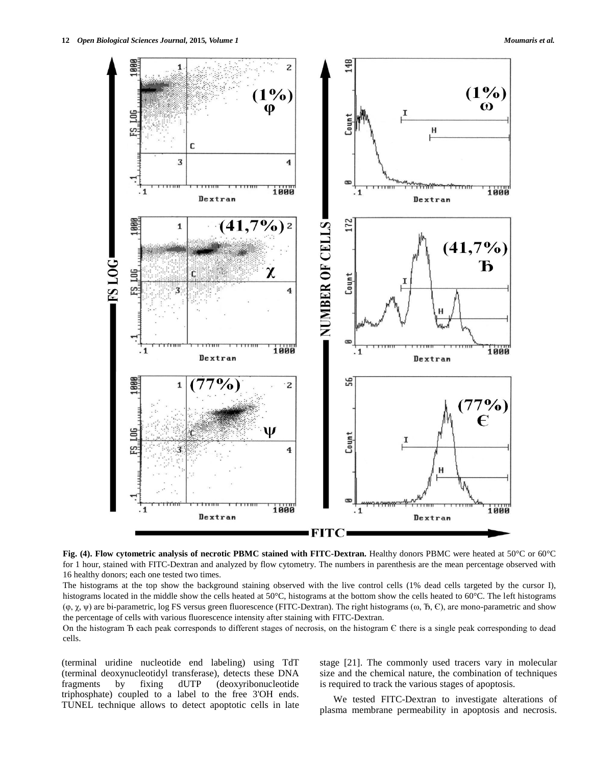

**Fig. (4). Flow cytometric analysis of necrotic PBMC stained with FITC-Dextran.** Healthy donors PBMC were heated at 50°C or 60°C for 1 hour, stained with FITC-Dextran and analyzed by flow cytometry. The numbers in parenthesis are the mean percentage observed with 16 healthy donors; each one tested two times.

The histograms at the top show the background staining observed with the live control cells (1% dead cells targeted by the cursor I), histograms located in the middle show the cells heated at 50°C, histograms at the bottom show the cells heated to 60°C. The left histograms  $(\varphi, \chi, \psi)$  are bi-parametric, log FS versus green fluorescence (FITC-Dextran). The right histograms  $(\omega, B, \mathcal{C})$ , are mono-parametric and show the percentage of cells with various fluorescence intensity after staining with FITC-Dextran.

On the histogram  $\overline{D}$  each peak corresponds to different stages of necrosis, on the histogram  $\overline{C}$  there is a single peak corresponding to dead cells.

(terminal uridine nucleotide end labeling) using TdT (terminal deoxynucleotidyl transferase), detects these DNA fragments by fixing dUTP (deoxyribonucleotide triphosphate) coupled to a label to the free 3'OH ends. TUNEL technique allows to detect apoptotic cells in late stage [21]. The commonly used tracers vary in molecular size and the chemical nature, the combination of techniques is required to track the various stages of apoptosis.

We tested FITC-Dextran to investigate alterations of plasma membrane permeability in apoptosis and necrosis.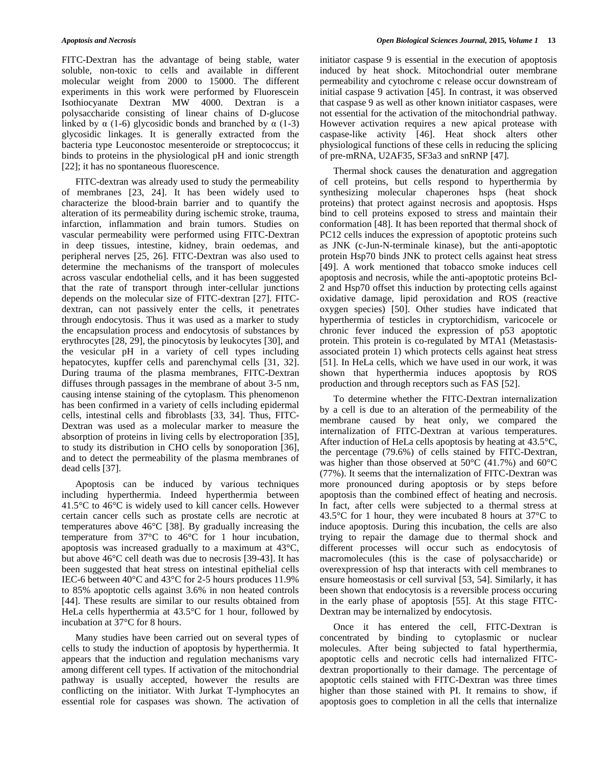FITC-Dextran has the advantage of being stable, water soluble, non-toxic to cells and available in different molecular weight from 2000 to 15000. The different experiments in this work were performed by Fluorescein Isothiocyanate Dextran MW 4000. Dextran is a polysaccharide consisting of linear chains of D-glucose linked by  $\alpha$  (1-6) glycosidic bonds and branched by  $\alpha$  (1-3) glycosidic linkages. It is generally extracted from the bacteria type Leuconostoc mesenteroide or streptococcus; it binds to proteins in the physiological pH and ionic strength [22]; it has no spontaneous fluorescence.

FITC-dextran was already used to study the permeability of membranes [23, 24]. It has been widely used to characterize the blood-brain barrier and to quantify the alteration of its permeability during ischemic stroke, trauma, infarction, inflammation and brain tumors. Studies on vascular permeability were performed using FITC-Dextran in deep tissues, intestine, kidney, brain oedemas, and peripheral nerves [25, 26]. FITC-Dextran was also used to determine the mechanisms of the transport of molecules across vascular endothelial cells, and it has been suggested that the rate of transport through inter-cellular junctions depends on the molecular size of FITC-dextran [27]. FITCdextran, can not passively enter the cells, it penetrates through endocytosis. Thus it was used as a marker to study the encapsulation process and endocytosis of substances by erythrocytes [28, 29], the pinocytosis by leukocytes [30], and the vesicular pH in a variety of cell types including hepatocytes, kupffer cells and parenchymal cells [31, 32]. During trauma of the plasma membranes, FITC-Dextran diffuses through passages in the membrane of about 3-5 nm, causing intense staining of the cytoplasm. This phenomenon has been confirmed in a variety of cells including epidermal cells, intestinal cells and fibroblasts [33, 34]. Thus, FITC-Dextran was used as a molecular marker to measure the absorption of proteins in living cells by electroporation [35], to study its distribution in CHO cells by sonoporation [36], and to detect the permeability of the plasma membranes of dead cells [37].

Apoptosis can be induced by various techniques including hyperthermia. Indeed hyperthermia between 41.5°C to 46°C is widely used to kill cancer cells. However certain cancer cells such as prostate cells are necrotic at temperatures above 46°C [38]. By gradually increasing the temperature from 37°C to 46°C for 1 hour incubation, apoptosis was increased gradually to a maximum at 43°C, but above 46°C cell death was due to necrosis [39-43]. It has been suggested that heat stress on intestinal epithelial cells IEC-6 between 40°C and 43°C for 2-5 hours produces 11.9% to 85% apoptotic cells against 3.6% in non heated controls [44]. These results are similar to our results obtained from HeLa cells hyperthermia at 43.5°C for 1 hour, followed by incubation at 37°C for 8 hours.

Many studies have been carried out on several types of cells to study the induction of apoptosis by hyperthermia. It appears that the induction and regulation mechanisms vary among different cell types. If activation of the mitochondrial pathway is usually accepted, however the results are conflicting on the initiator. With Jurkat T-lymphocytes an essential role for caspases was shown. The activation of

initiator caspase 9 is essential in the execution of apoptosis induced by heat shock. Mitochondrial outer membrane permeability and cytochrome c release occur downstream of initial caspase 9 activation [45]. In contrast, it was observed that caspase 9 as well as other known initiator caspases, were not essential for the activation of the mitochondrial pathway. However activation requires a new apical protease with caspase-like activity [46]. Heat shock alters other physiological functions of these cells in reducing the splicing of pre-mRNA, U2AF35, SF3a3 and snRNP [47].

Thermal shock causes the denaturation and aggregation of cell proteins, but cells respond to hyperthermia by synthesizing molecular chaperones hsps (heat shock proteins) that protect against necrosis and apoptosis. Hsps bind to cell proteins exposed to stress and maintain their conformation [48]. It has been reported that thermal shock of PC12 cells induces the expression of apoptotic proteins such as JNK (c-Jun-N-terminale kinase), but the anti-apoptotic protein Hsp70 binds JNK to protect cells against heat stress [49]. A work mentioned that tobacco smoke induces cell apoptosis and necrosis, while the anti-apoptotic proteins Bcl-2 and Hsp70 offset this induction by protecting cells against oxidative damage, lipid peroxidation and ROS (reactive oxygen species) [50]. Other studies have indicated that hyperthermia of testicles in cryptorchidism, varicocele or chronic fever induced the expression of p53 apoptotic protein. This protein is co-regulated by MTA1 (Metastasisassociated protein 1) which protects cells against heat stress [51]. In HeLa cells, which we have used in our work, it was shown that hyperthermia induces apoptosis by ROS production and through receptors such as FAS [52].

To determine whether the FITC-Dextran internalization by a cell is due to an alteration of the permeability of the membrane caused by heat only, we compared the internalization of FITC-Dextran at various temperatures. After induction of HeLa cells apoptosis by heating at 43.5°C, the percentage (79.6%) of cells stained by FITC-Dextran, was higher than those observed at 50°C (41.7%) and 60°C (77%). It seems that the internalization of FITC-Dextran was more pronounced during apoptosis or by steps before apoptosis than the combined effect of heating and necrosis. In fact, after cells were subjected to a thermal stress at 43.5°C for 1 hour, they were incubated 8 hours at 37°C to induce apoptosis. During this incubation, the cells are also trying to repair the damage due to thermal shock and different processes will occur such as endocytosis of macromolecules (this is the case of polysaccharide) or overexpression of hsp that interacts with cell membranes to ensure homeostasis or cell survival [53, 54]. Similarly, it has been shown that endocytosis is a reversible process occuring in the early phase of apoptosis [55]. At this stage FITC-Dextran may be internalized by endocytosis.

Once it has entered the cell, FITC-Dextran is concentrated by binding to cytoplasmic or nuclear molecules. After being subjected to fatal hyperthermia, apoptotic cells and necrotic cells had internalized FITCdextran proportionally to their damage. The percentage of apoptotic cells stained with FITC-Dextran was three times higher than those stained with PI. It remains to show, if apoptosis goes to completion in all the cells that internalize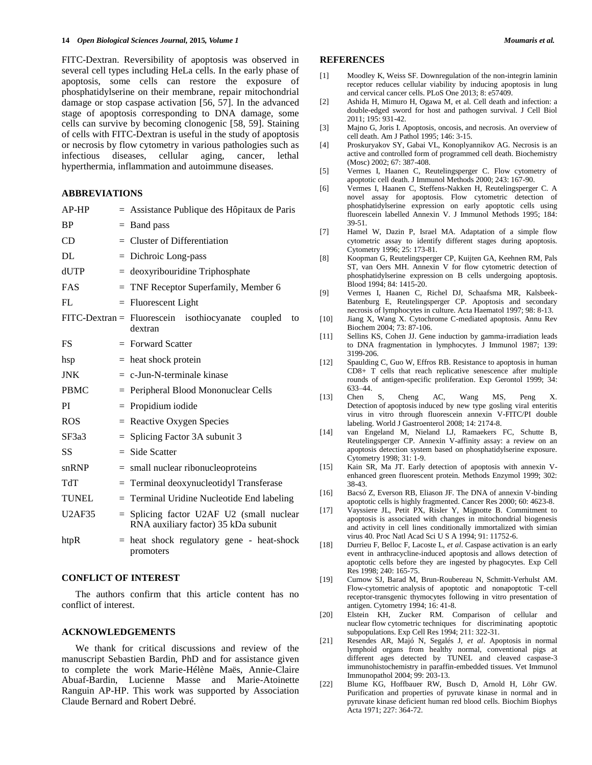#### **14** *Open Biological Sciences Journal,* **2015***, Volume 1 Moumaris et al.*

FITC-Dextran. Reversibility of apoptosis was observed in several cell types including HeLa cells. In the early phase of apoptosis, some cells can restore the exposure of phosphatidylserine on their membrane, repair mitochondrial damage or stop caspase activation [56, 57]. In the advanced stage of apoptosis corresponding to DNA damage, some cells can survive by becoming clonogenic [58, 59]. Staining of cells with FITC-Dextran is useful in the study of apoptosis or necrosis by flow cytometry in various pathologies such as infectious diseases, cellular aging, cancer, lethal hyperthermia, inflammation and autoimmune diseases.

## **ABBREVIATIONS**

| $AP-HP$       |     | = Assistance Publique des Hôpitaux de Paris                                           |  |  |
|---------------|-----|---------------------------------------------------------------------------------------|--|--|
| <b>BP</b>     |     | $=$ Band pass                                                                         |  |  |
| CD            |     | $=$ Cluster of Differentiation                                                        |  |  |
| DL            |     | $=$ Dichroic Long-pass                                                                |  |  |
| dUTP          |     | $=$ deoxyribouridine Triphosphate                                                     |  |  |
| <b>FAS</b>    |     | $=$ TNF Receptor Superfamily, Member 6                                                |  |  |
| FL            |     | $=$ Fluorescent Light                                                                 |  |  |
|               |     | $\text{FITC-Dextran} = \text{Fluorescein}$ isothiocyanate<br>coupled<br>to<br>dextran |  |  |
| <b>FS</b>     |     | $=$ Forward Scatter                                                                   |  |  |
| hsp           |     | $=$ heat shock protein                                                                |  |  |
| <b>JNK</b>    |     | $= c$ -Jun-N-terminale kinase                                                         |  |  |
| <b>PBMC</b>   |     | $=$ Peripheral Blood Mononuclear Cells                                                |  |  |
| PI            |     | $=$ Propidium iodide                                                                  |  |  |
| <b>ROS</b>    |     | $=$ Reactive Oxygen Species                                                           |  |  |
| SF3a3         |     | $=$ Splicing Factor 3A subunit 3                                                      |  |  |
| SS            |     | $=$ Side Scatter                                                                      |  |  |
| snRNP         |     | $=$ small nuclear ribonucleoproteins                                                  |  |  |
| TdT           |     | = Terminal deoxynucleotidyl Transferase                                               |  |  |
| <b>TUNEL</b>  |     | = Terminal Uridine Nucleotide End labeling                                            |  |  |
| <b>U2AF35</b> | $=$ | Splicing factor U2AF U2 (small nuclear<br>RNA auxiliary factor) 35 kDa subunit        |  |  |
| htpR          | $=$ | heat shock regulatory gene - heat-shock<br>promoters                                  |  |  |

## **CONFLICT OF INTEREST**

The authors confirm that this article content has no conflict of interest.

## **ACKNOWLEDGEMENTS**

We thank for critical discussions and review of the manuscript Sebastien Bardin, PhD and for assistance given to complete the work Marie-Hélène Maës, Annie-Claire Abuaf-Bardin, Lucienne Masse and Marie-Atoinette Ranguin AP-HP. This work was supported by Association Claude Bernard and Robert Debré.

#### **REFERENCES**

- [1] Moodley K, Weiss SF. Downregulation of the non-integrin laminin receptor reduces cellular viability by inducing apoptosis in lung and cervical cancer cells. PLoS One 2013; 8: e57409.
- [2] Ashida H, Mimuro H, Ogawa M, et al. Cell death and infection: a double-edged sword for host and pathogen survival. J Cell Biol 2011; 195: 931-42.
- [3] Majno G, Joris I. Apoptosis, oncosis, and necrosis. An overview of cell death. Am J Pathol 1995; 146: 3-15.
- [4] Proskuryakov SY, Gabai VL, Konoplyannikov AG. Necrosis is an active and controlled form of programmed cell death. Biochemistry (Mosc) 2002; 67: 387-408.
- [5] Vermes I, Haanen C, Reutelingsperger C. Flow cytometry of apoptotic cell death. J Immunol Methods 2000; 243: 167-90.
- [6] Vermes I, Haanen C, Steffens-Nakken H, Reutelingsperger C. A novel assay for apoptosis. Flow cytometric detection of phosphatidylserine expression on early apoptotic cells using fluorescein labelled Annexin V. J Immunol Methods 1995; 184: 39-51.
- [7] Hamel W, Dazin P, Israel MA. Adaptation of a simple flow cytometric assay to identify different stages during apoptosis. Cytometry 1996; 25: 173-81.
- [8] Koopman G, Reutelingsperger CP, Kuijten GA, Keehnen RM, Pals ST, van Oers MH. Annexin V for flow cytometric detection of phosphatidylserine expression on B cells undergoing apoptosis. Blood 1994; 84: 1415-20.
- [9] Vermes I, Haanen C, Richel DJ, Schaafsma MR, Kalsbeek-Batenburg E, Reutelingsperger CP. Apoptosis and secondary necrosis of lymphocytes in culture. Acta Haematol 1997; 98: 8-13.
- [10] Jiang X, Wang X. Cytochrome C-mediated apoptosis. Annu Rev Biochem 2004; 73: 87-106.
- [11] Sellins KS, Cohen JJ. Gene induction by gamma-irradiation leads to DNA fragmentation in lymphocytes. J Immunol 1987; 139: 3199-206.
- [12] Spaulding C, Guo W, Effros RB. Resistance to apoptosis in human CD8+ T cells that reach replicative senescence after multiple rounds of antigen-specific proliferation. Exp Gerontol 1999; 34:  $633-44.$ <br>Chen S.
- [13] Chen S, Cheng AC, Wang MS, Peng X. Detection of apoptosis induced by new type gosling viral enteritis virus in vitro through fluorescein annexin V-FITC/PI double labeling. World J Gastroenterol 2008; 14: 2174-8.
- [14] van Engeland M, Nieland LJ, Ramaekers FC, Schutte B, Reutelingsperger CP. Annexin V-affinity assay: a review on an apoptosis detection system based on phosphatidylserine exposure. Cytometry 1998; 31: 1-9.
- [15] Kain SR, Ma JT. Early detection of apoptosis with annexin Venhanced green fluorescent protein. Methods Enzymol 1999; 302: 38-43.
- [16] Bacsó Z, Everson RB, Eliason JF. The DNA of annexin V-binding apoptotic cells is highly fragmented. Cancer Res 2000; 60: 4623-8.
- [17] Vayssiere JL, Petit PX, Risler Y, Mignotte B. Commitment to apoptosis is associated with changes in mitochondrial biogenesis and activity in cell lines conditionally immortalized with simian virus 40. Proc Natl Acad Sci U S A 1994; 91: 11752-6.
- [18] Durrieu F, Belloc F, Lacoste L, *et al*. Caspase activation is an early event in anthracycline-induced apoptosis and allows detection of apoptotic cells before they are ingested by phagocytes. Exp Cell Res 1998; 240: 165-75.
- [19] Curnow SJ, Barad M, Brun-Roubereau N, Schmitt-Verhulst AM. Flow-cytometric analysis of apoptotic and nonapoptotic T-cell receptor-transgenic thymocytes following in vitro presentation of antigen. Cytometry 1994; 16: 41-8.
- [20] Elstein KH, Zucker RM. Comparison of cellular and nuclear flow cytometric techniques for discriminating apoptotic subpopulations. Exp Cell Res 1994; 211: 322-31.
- [21] Resendes AR, Majó N, Segalés J, *et al*. Apoptosis in normal lymphoid organs from healthy normal, conventional pigs at different ages detected by TUNEL and cleaved caspase-3 immunohistochemistry in paraffin-embedded tissues. Vet Immunol Immunopathol 2004; 99: 203-13.
- [22] Blume KG, Hoffbauer RW, Busch D, Arnold H, Löhr GW. Purification and properties of pyruvate kinase in normal and in pyruvate kinase deficient human red blood cells. Biochim Biophys Acta 1971; 227: 364-72.